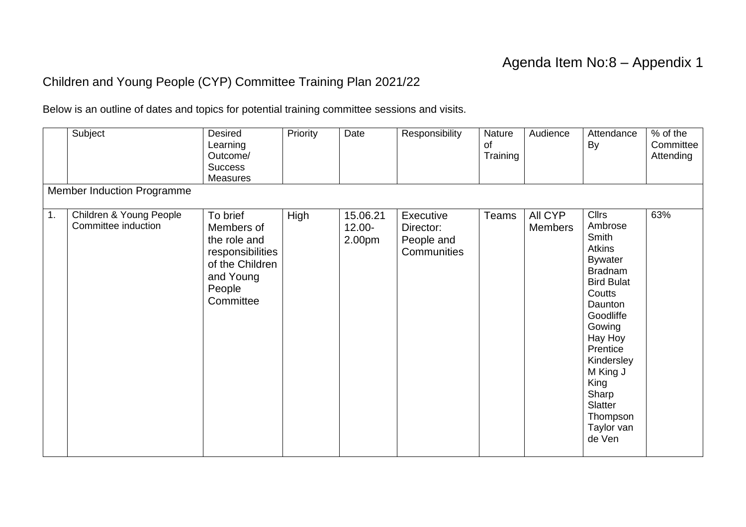## Agenda Item No:8 – Appendix 1

## Children and Young People (CYP) Committee Training Plan 2021/22

Below is an outline of dates and topics for potential training committee sessions and visits.

|    | Subject                                        | Desired<br>Learning<br>Outcome/<br><b>Success</b><br><b>Measures</b>                                              | Priority | Date                            | Responsibility                                      | Nature<br>of<br>Training | Audience                  | Attendance<br><b>By</b>                                                                                                                                                                                                                                                 | % of the<br>Committee<br>Attending |
|----|------------------------------------------------|-------------------------------------------------------------------------------------------------------------------|----------|---------------------------------|-----------------------------------------------------|--------------------------|---------------------------|-------------------------------------------------------------------------------------------------------------------------------------------------------------------------------------------------------------------------------------------------------------------------|------------------------------------|
|    | Member Induction Programme                     |                                                                                                                   |          |                                 |                                                     |                          |                           |                                                                                                                                                                                                                                                                         |                                    |
| 1. | Children & Young People<br>Committee induction | To brief<br>Members of<br>the role and<br>responsibilities<br>of the Children<br>and Young<br>People<br>Committee | High     | 15.06.21<br>$12.00 -$<br>2.00pm | Executive<br>Director:<br>People and<br>Communities | <b>Teams</b>             | All CYP<br><b>Members</b> | <b>Cllrs</b><br>Ambrose<br>Smith<br><b>Atkins</b><br><b>Bywater</b><br><b>Bradnam</b><br><b>Bird Bulat</b><br>Coutts<br>Daunton<br>Goodliffe<br>Gowing<br>Hay Hoy<br>Prentice<br>Kindersley<br>M King J<br>King<br>Sharp<br>Slatter<br>Thompson<br>Taylor van<br>de Ven | 63%                                |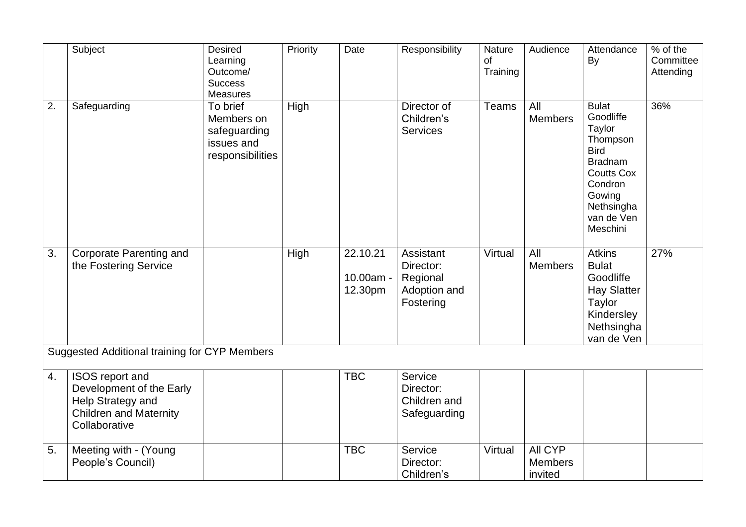|                  | Subject                                                                                                            | <b>Desired</b><br>Learning<br>Outcome/<br><b>Success</b><br>Measures     | Priority | Date                             | Responsibility                                                  | Nature<br>of<br>Training | Audience                             | Attendance<br>By                                                                                                                                                   | $%$ of the<br>Committee<br>Attending |
|------------------|--------------------------------------------------------------------------------------------------------------------|--------------------------------------------------------------------------|----------|----------------------------------|-----------------------------------------------------------------|--------------------------|--------------------------------------|--------------------------------------------------------------------------------------------------------------------------------------------------------------------|--------------------------------------|
| $\overline{2}$ . | Safeguarding                                                                                                       | To brief<br>Members on<br>safeguarding<br>issues and<br>responsibilities | High     |                                  | Director of<br>Children's<br><b>Services</b>                    | Teams                    | All<br><b>Members</b>                | <b>Bulat</b><br>Goodliffe<br>Taylor<br>Thompson<br><b>Bird</b><br><b>Bradnam</b><br><b>Coutts Cox</b><br>Condron<br>Gowing<br>Nethsingha<br>van de Ven<br>Meschini | 36%                                  |
| 3.               | <b>Corporate Parenting and</b><br>the Fostering Service                                                            |                                                                          | High     | 22.10.21<br>10.00am -<br>12.30pm | Assistant<br>Director:<br>Regional<br>Adoption and<br>Fostering | Virtual                  | All<br><b>Members</b>                | <b>Atkins</b><br><b>Bulat</b><br>Goodliffe<br><b>Hay Slatter</b><br><b>Taylor</b><br>Kindersley<br>Nethsingha<br>van de Ven                                        | 27%                                  |
|                  | Suggested Additional training for CYP Members                                                                      |                                                                          |          |                                  |                                                                 |                          |                                      |                                                                                                                                                                    |                                      |
| 4.               | ISOS report and<br>Development of the Early<br>Help Strategy and<br><b>Children and Maternity</b><br>Collaborative |                                                                          |          | <b>TBC</b>                       | Service<br>Director:<br>Children and<br>Safeguarding            |                          |                                      |                                                                                                                                                                    |                                      |
| 5.               | Meeting with - (Young<br>People's Council)                                                                         |                                                                          |          | <b>TBC</b>                       | Service<br>Director:<br>Children's                              | Virtual                  | All CYP<br><b>Members</b><br>invited |                                                                                                                                                                    |                                      |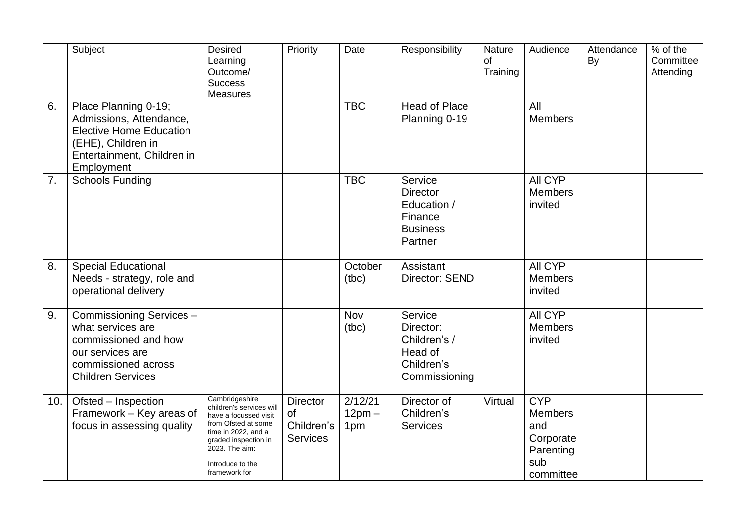|     | Subject                                                                                                                                             | <b>Desired</b><br>Learning<br>Outcome/<br><b>Success</b><br><b>Measures</b>                                                                                                                      | Priority                                               | Date                       | Responsibility                                                                     | Nature<br>of<br>Training | Audience                                                                          | Attendance<br>By | % of the<br>Committee<br>Attending |
|-----|-----------------------------------------------------------------------------------------------------------------------------------------------------|--------------------------------------------------------------------------------------------------------------------------------------------------------------------------------------------------|--------------------------------------------------------|----------------------------|------------------------------------------------------------------------------------|--------------------------|-----------------------------------------------------------------------------------|------------------|------------------------------------|
| 6.  | Place Planning 0-19;<br>Admissions, Attendance,<br><b>Elective Home Education</b><br>(EHE), Children in<br>Entertainment, Children in<br>Employment |                                                                                                                                                                                                  |                                                        | <b>TBC</b>                 | <b>Head of Place</b><br>Planning 0-19                                              |                          | All<br><b>Members</b>                                                             |                  |                                    |
| 7.  | <b>Schools Funding</b>                                                                                                                              |                                                                                                                                                                                                  |                                                        | <b>TBC</b>                 | Service<br><b>Director</b><br>Education /<br>Finance<br><b>Business</b><br>Partner |                          | All CYP<br><b>Members</b><br>invited                                              |                  |                                    |
| 8.  | <b>Special Educational</b><br>Needs - strategy, role and<br>operational delivery                                                                    |                                                                                                                                                                                                  |                                                        | October<br>(tbc)           | Assistant<br>Director: SEND                                                        |                          | All CYP<br><b>Members</b><br>invited                                              |                  |                                    |
| 9.  | Commissioning Services-<br>what services are<br>commissioned and how<br>our services are<br>commissioned across<br><b>Children Services</b>         |                                                                                                                                                                                                  |                                                        | Nov<br>(tbc)               | Service<br>Director:<br>Children's /<br>Head of<br>Children's<br>Commissioning     |                          | All CYP<br><b>Members</b><br>invited                                              |                  |                                    |
| 10. | Ofsted - Inspection<br>Framework - Key areas of<br>focus in assessing quality                                                                       | Cambridgeshire<br>children's services will<br>have a focussed visit<br>from Ofsted at some<br>time in 2022, and a<br>graded inspection in<br>2023. The aim:<br>Introduce to the<br>framework for | <b>Director</b><br>of<br>Children's<br><b>Services</b> | 2/12/21<br>$12pm -$<br>1pm | Director of<br>Children's<br><b>Services</b>                                       | Virtual                  | <b>CYP</b><br><b>Members</b><br>and<br>Corporate<br>Parenting<br>sub<br>committee |                  |                                    |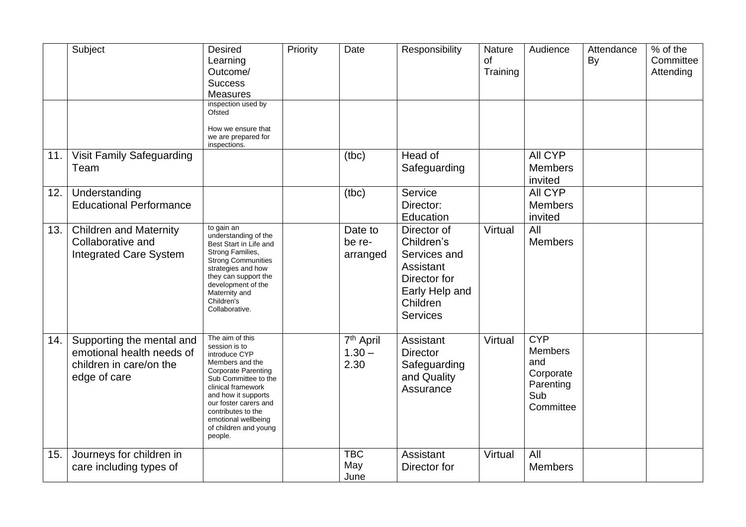|     | Subject                                                                                           | <b>Desired</b><br>Learning<br>Outcome/<br><b>Success</b><br><b>Measures</b>                                                                                                                                                                                                       | Priority | Date                                      | Responsibility                                                                                                          | Nature<br>of<br>Training | Audience                                                                          | Attendance<br>By | % of the<br>Committee<br>Attending |
|-----|---------------------------------------------------------------------------------------------------|-----------------------------------------------------------------------------------------------------------------------------------------------------------------------------------------------------------------------------------------------------------------------------------|----------|-------------------------------------------|-------------------------------------------------------------------------------------------------------------------------|--------------------------|-----------------------------------------------------------------------------------|------------------|------------------------------------|
|     |                                                                                                   | inspection used by<br>Ofsted<br>How we ensure that<br>we are prepared for                                                                                                                                                                                                         |          |                                           |                                                                                                                         |                          |                                                                                   |                  |                                    |
| 11. | Visit Family Safeguarding<br>Team                                                                 | inspections.                                                                                                                                                                                                                                                                      |          | (tbc)                                     | Head of<br>Safeguarding                                                                                                 |                          | All CYP<br><b>Members</b><br>invited                                              |                  |                                    |
| 12. | Understanding<br><b>Educational Performance</b>                                                   |                                                                                                                                                                                                                                                                                   |          | (tbc)                                     | Service<br>Director:<br>Education                                                                                       |                          | All CYP<br><b>Members</b><br>invited                                              |                  |                                    |
| 13. | <b>Children and Maternity</b><br>Collaborative and<br><b>Integrated Care System</b>               | to gain an<br>understanding of the<br>Best Start in Life and<br>Strong Families,<br><b>Strong Communities</b><br>strategies and how<br>they can support the<br>development of the<br>Maternity and<br>Children's<br>Collaborative.                                                |          | Date to<br>be re-<br>arranged             | Director of<br>Children's<br>Services and<br>Assistant<br>Director for<br>Early Help and<br>Children<br><b>Services</b> | Virtual                  | All<br><b>Members</b>                                                             |                  |                                    |
| 14. | Supporting the mental and<br>emotional health needs of<br>children in care/on the<br>edge of care | The aim of this<br>session is to<br>introduce CYP<br>Members and the<br><b>Corporate Parenting</b><br>Sub Committee to the<br>clinical framework<br>and how it supports<br>our foster carers and<br>contributes to the<br>emotional wellbeing<br>of children and young<br>people. |          | 7 <sup>th</sup> April<br>$1.30 -$<br>2.30 | Assistant<br><b>Director</b><br>Safeguarding<br>and Quality<br>Assurance                                                | Virtual                  | <b>CYP</b><br><b>Members</b><br>and<br>Corporate<br>Parenting<br>Sub<br>Committee |                  |                                    |
| 15. | Journeys for children in<br>care including types of                                               |                                                                                                                                                                                                                                                                                   |          | <b>TBC</b><br>May<br>June                 | Assistant<br>Director for                                                                                               | Virtual                  | All<br><b>Members</b>                                                             |                  |                                    |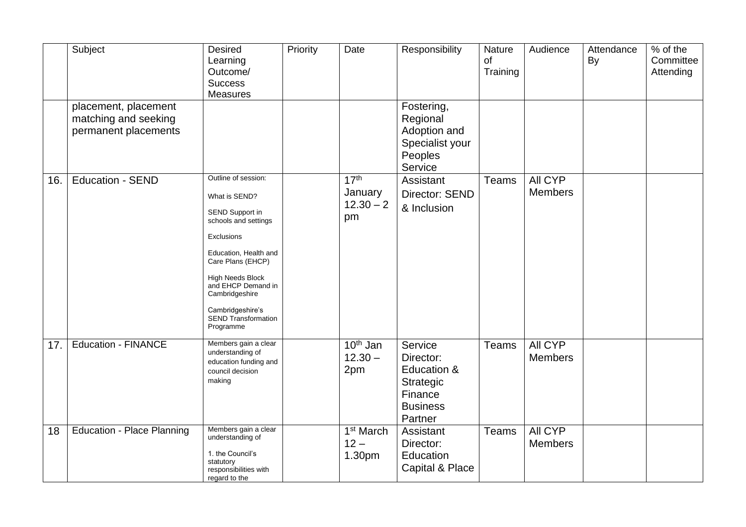|     | Subject                                                              | Desired<br>Learning<br>Outcome/<br><b>Success</b><br><b>Measures</b>                                                                                                                                                                                                          | Priority | Date                                             | Responsibility                                                                            | Nature<br>of<br>Training | Audience                  | Attendance<br>By | % of the<br>Committee<br>Attending |
|-----|----------------------------------------------------------------------|-------------------------------------------------------------------------------------------------------------------------------------------------------------------------------------------------------------------------------------------------------------------------------|----------|--------------------------------------------------|-------------------------------------------------------------------------------------------|--------------------------|---------------------------|------------------|------------------------------------|
|     | placement, placement<br>matching and seeking<br>permanent placements |                                                                                                                                                                                                                                                                               |          |                                                  | Fostering,<br>Regional<br>Adoption and<br>Specialist your<br>Peoples<br>Service           |                          |                           |                  |                                    |
| 16. | <b>Education - SEND</b>                                              | Outline of session:<br>What is SEND?<br>SEND Support in<br>schools and settings<br>Exclusions<br>Education, Health and<br>Care Plans (EHCP)<br><b>High Needs Block</b><br>and EHCP Demand in<br>Cambridgeshire<br>Cambridgeshire's<br><b>SEND Transformation</b><br>Programme |          | 17 <sup>th</sup><br>January<br>$12.30 - 2$<br>pm | Assistant<br><b>Director: SEND</b><br>& Inclusion                                         | <b>Teams</b>             | All CYP<br><b>Members</b> |                  |                                    |
| 17. | <b>Education - FINANCE</b>                                           | Members gain a clear<br>understanding of<br>education funding and<br>council decision<br>making                                                                                                                                                                               |          | $10th$ Jan<br>$12.30 -$<br>2pm                   | Service<br>Director:<br>Education &<br>Strategic<br>Finance<br><b>Business</b><br>Partner | <b>Teams</b>             | All CYP<br><b>Members</b> |                  |                                    |
| 18  | <b>Education - Place Planning</b>                                    | Members gain a clear<br>understanding of<br>1. the Council's<br>statutory<br>responsibilities with<br>regard to the                                                                                                                                                           |          | 1 <sup>st</sup> March<br>$12 -$<br>1.30pm        | Assistant<br>Director:<br>Education<br>Capital & Place                                    | <b>Teams</b>             | All CYP<br><b>Members</b> |                  |                                    |